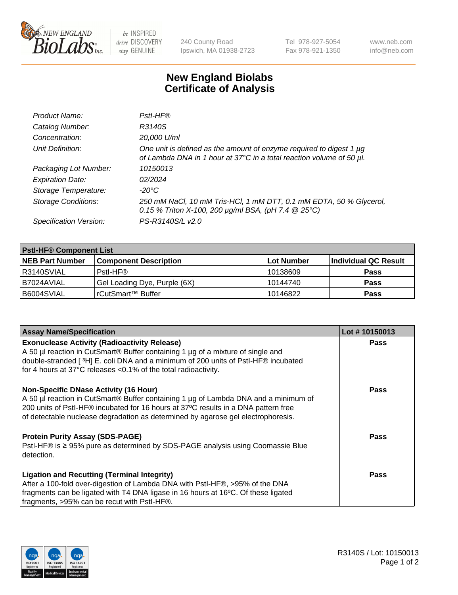

 $be$  INSPIRED drive DISCOVERY stay GENUINE

240 County Road Ipswich, MA 01938-2723 Tel 978-927-5054 Fax 978-921-1350 www.neb.com info@neb.com

## **New England Biolabs Certificate of Analysis**

| Product Name:              | Pstl-HF®                                                                                                                                             |
|----------------------------|------------------------------------------------------------------------------------------------------------------------------------------------------|
| Catalog Number:            | R3140S                                                                                                                                               |
| Concentration:             | 20,000 U/ml                                                                                                                                          |
| Unit Definition:           | One unit is defined as the amount of enzyme required to digest 1 µg<br>of Lambda DNA in 1 hour at 37°C in a total reaction volume of 50 µl.          |
| Packaging Lot Number:      | 10150013                                                                                                                                             |
| <b>Expiration Date:</b>    | 02/2024                                                                                                                                              |
| Storage Temperature:       | $-20^{\circ}$ C                                                                                                                                      |
| <b>Storage Conditions:</b> | 250 mM NaCl, 10 mM Tris-HCl, 1 mM DTT, 0.1 mM EDTA, 50 % Glycerol,<br>0.15 % Triton X-100, 200 $\mu$ g/ml BSA, (pH 7.4 $\textcircled{25}^{\circ}$ C) |
| Specification Version:     | PS-R3140S/L v2.0                                                                                                                                     |

| <b>PstI-HF® Component List</b> |                              |            |                      |  |
|--------------------------------|------------------------------|------------|----------------------|--|
| <b>NEB Part Number</b>         | <b>Component Description</b> | Lot Number | Individual QC Result |  |
| R3140SVIAL                     | Pstl-HF®                     | 10138609   | <b>Pass</b>          |  |
| B7024AVIAL                     | Gel Loading Dye, Purple (6X) | 10144740   | <b>Pass</b>          |  |
| B6004SVIAL                     | rCutSmart™ Buffer            | 10146822   | <b>Pass</b>          |  |

| <b>Assay Name/Specification</b>                                                                                                                                                                                                                                                                               | Lot #10150013 |
|---------------------------------------------------------------------------------------------------------------------------------------------------------------------------------------------------------------------------------------------------------------------------------------------------------------|---------------|
| <b>Exonuclease Activity (Radioactivity Release)</b><br>A 50 µl reaction in CutSmart® Buffer containing 1 µg of a mixture of single and                                                                                                                                                                        | <b>Pass</b>   |
| double-stranded [3H] E. coli DNA and a minimum of 200 units of PstI-HF® incubated<br>for 4 hours at 37°C releases <0.1% of the total radioactivity.                                                                                                                                                           |               |
| <b>Non-Specific DNase Activity (16 Hour)</b><br>A 50 µl reaction in CutSmart® Buffer containing 1 µg of Lambda DNA and a minimum of<br>200 units of Pstl-HF® incubated for 16 hours at 37°C results in a DNA pattern free<br>of detectable nuclease degradation as determined by agarose gel electrophoresis. | <b>Pass</b>   |
| <b>Protein Purity Assay (SDS-PAGE)</b><br>PstI-HF® is ≥ 95% pure as determined by SDS-PAGE analysis using Coomassie Blue<br>detection.                                                                                                                                                                        | Pass          |
| <b>Ligation and Recutting (Terminal Integrity)</b><br>After a 100-fold over-digestion of Lambda DNA with PstI-HF®, >95% of the DNA<br>fragments can be ligated with T4 DNA ligase in 16 hours at 16°C. Of these ligated<br>fragments, >95% can be recut with PstI-HF®.                                        | Pass          |